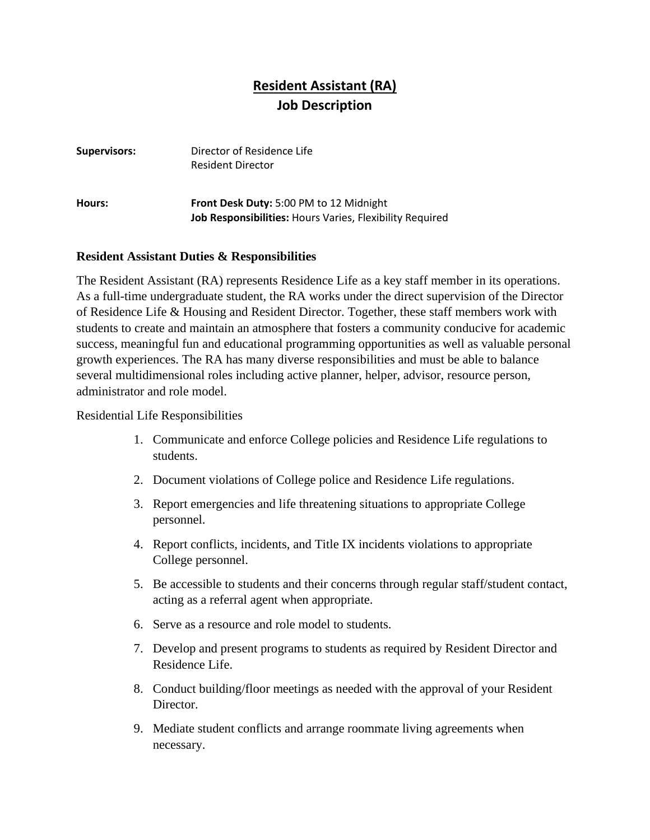## **Resident Assistant (RA) Job Description**

| <b>Supervisors:</b> | Director of Residence Life<br><b>Resident Director</b>                                                     |
|---------------------|------------------------------------------------------------------------------------------------------------|
| Hours:              | Front Desk Duty: 5:00 PM to 12 Midnight<br><b>Job Responsibilities:</b> Hours Varies, Flexibility Required |

## **Resident Assistant Duties & Responsibilities**

The Resident Assistant (RA) represents Residence Life as a key staff member in its operations. As a full-time undergraduate student, the RA works under the direct supervision of the Director of Residence Life & Housing and Resident Director. Together, these staff members work with students to create and maintain an atmosphere that fosters a community conducive for academic success, meaningful fun and educational programming opportunities as well as valuable personal growth experiences. The RA has many diverse responsibilities and must be able to balance several multidimensional roles including active planner, helper, advisor, resource person, administrator and role model.

Residential Life Responsibilities

- 1. Communicate and enforce College policies and Residence Life regulations to students.
- 2. Document violations of College police and Residence Life regulations.
- 3. Report emergencies and life threatening situations to appropriate College personnel.
- 4. Report conflicts, incidents, and Title IX incidents violations to appropriate College personnel.
- 5. Be accessible to students and their concerns through regular staff/student contact, acting as a referral agent when appropriate.
- 6. Serve as a resource and role model to students.
- 7. Develop and present programs to students as required by Resident Director and Residence Life.
- 8. Conduct building/floor meetings as needed with the approval of your Resident Director.
- 9. Mediate student conflicts and arrange roommate living agreements when necessary.